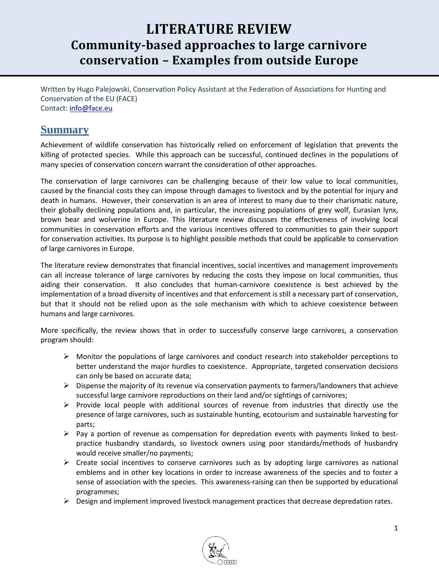# **LITERATURE REVIEW Community-based approaches to large carnivore conservation – Examples from outside Europe**

Written by Hugo Palejowski, Conservation Policy Assistant at the Federation of Associations for Hunting and Conservation of the EU (FACE) Contact: [info@face.eu](mailto:info@face.eu)

### **Summary**

Achievement of wildlife conservation has historically relied on enforcement of legislation that prevents the killing of protected species. While this approach can be successful, continued declines in the populations of many species of conservation concern warrant the consideration of other approaches.

The conservation of large carnivores can be challenging because of their low value to local communities, caused by the financial costs they can impose through damages to livestock and by the potential for injury and death in humans. However, their conservation is an area of interest to many due to their charismatic nature, their globally declining populations and, in particular, the increasing populations of grey wolf, Eurasian lynx, brown bear and wolverine in Europe. This literature review discusses the effectiveness of involving local communities in conservation efforts and the various incentives offered to communities to gain their support for conservation activities. Its purpose is to highlight possible methods that could be applicable to conservation of large carnivores in Europe.

The literature review demonstrates that financial incentives, social incentives and management improvements can all increase tolerance of large carnivores by reducing the costs they impose on local communities, thus aiding their conservation. It also concludes that human-carnivore coexistence is best achieved by the implementation of a broad diversity of incentives and that enforcement is still a necessary part of conservation, but that it should not be relied upon as the sole mechanism with which to achieve coexistence between humans and large carnivores.

More specifically, the review shows that in order to successfully conserve large carnivores, a conservation program should:

- $\triangleright$  Monitor the populations of large carnivores and conduct research into stakeholder perceptions to better understand the major hurdles to coexistence. Appropriate, targeted conservation decisions can only be based on accurate data;
- $\triangleright$  Dispense the majority of its revenue via conservation payments to farmers/landowners that achieve successful large carnivore reproductions on their land and/or sightings of carnivores;
- $\triangleright$  Provide local people with additional sources of revenue from industries that directly use the presence of large carnivores, such as sustainable hunting, ecotourism and sustainable harvesting for parts;
- $\triangleright$  Pay a portion of revenue as compensation for depredation events with payments linked to bestpractice husbandry standards, so livestock owners using poor standards/methods of husbandry would receive smaller/no payments;
- $\triangleright$  Create social incentives to conserve carnivores such as by adopting large carnivores as national emblems and in other key locations in order to increase awareness of the species and to foster a sense of association with the species. This awareness-raising can then be supported by educational programmes;
- $\triangleright$  Design and implement improved livestock management practices that decrease depredation rates.

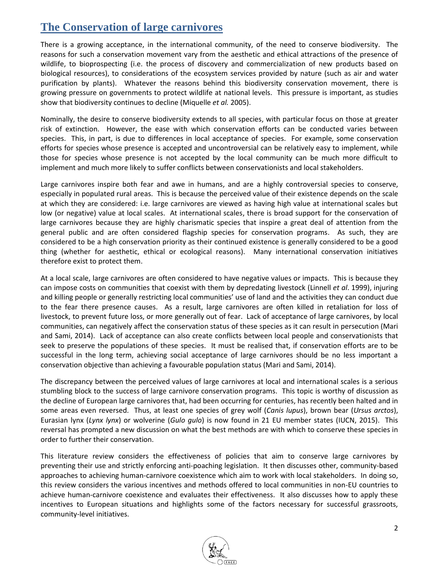## **The Conservation of large carnivores**

There is a growing acceptance, in the international community, of the need to conserve biodiversity. The reasons for such a conservation movement vary from the aesthetic and ethical attractions of the presence of wildlife, to bioprospecting (i.e. the process of discovery and commercialization of new products based on biological resources), to considerations of the ecosystem services provided by nature (such as air and water purification by plants). Whatever the reasons behind this biodiversity conservation movement, there is growing pressure on governments to protect wildlife at national levels. This pressure is important, as studies show that biodiversity continues to decline (Miquelle *et al.* 2005).

Nominally, the desire to conserve biodiversity extends to all species, with particular focus on those at greater risk of extinction. However, the ease with which conservation efforts can be conducted varies between species. This, in part, is due to differences in local acceptance of species. For example, some conservation efforts for species whose presence is accepted and uncontroversial can be relatively easy to implement, while those for species whose presence is not accepted by the local community can be much more difficult to implement and much more likely to suffer conflicts between conservationists and local stakeholders.

Large carnivores inspire both fear and awe in humans, and are a highly controversial species to conserve, especially in populated rural areas. This is because the perceived value of their existence depends on the scale at which they are considered: i.e. large carnivores are viewed as having high value at international scales but low (or negative) value at local scales. At international scales, there is broad support for the conservation of large carnivores because they are highly charismatic species that inspire a great deal of attention from the general public and are often considered flagship species for conservation programs. As such, they are considered to be a high conservation priority as their continued existence is generally considered to be a good thing (whether for aesthetic, ethical or ecological reasons). Many international conservation initiatives therefore exist to protect them.

At a local scale, large carnivores are often considered to have negative values or impacts. This is because they can impose costs on communities that coexist with them by depredating livestock (Linnell *et al*. 1999), injuring and killing people or generally restricting local communities' use of land and the activities they can conduct due to the fear there presence causes. As a result, large carnivores are often killed in retaliation for loss of livestock, to prevent future loss, or more generally out of fear. Lack of acceptance of large carnivores, by local communities, can negatively affect the conservation status of these species as it can result in persecution (Mari and Sami, 2014). Lack of acceptance can also create conflicts between local people and conservationists that seek to preserve the populations of these species. It must be realised that, if conservation efforts are to be successful in the long term, achieving social acceptance of large carnivores should be no less important a conservation objective than achieving a favourable population status (Mari and Sami, 2014).

The discrepancy between the perceived values of large carnivores at local and international scales is a serious stumbling block to the success of large carnivore conservation programs. This topic is worthy of discussion as the decline of European large carnivores that, had been occurring for centuries, has recently been halted and in some areas even reversed. Thus, at least one species of grey wolf (*Canis lupus*), brown bear (*Ursus arctos*), Eurasian lynx (*Lynx lynx*) or wolverine (*Gulo gulo*) is now found in 21 EU member states (IUCN, 2015). This reversal has prompted a new discussion on what the best methods are with which to conserve these species in order to further their conservation.

This literature review considers the effectiveness of policies that aim to conserve large carnivores by preventing their use and strictly enforcing anti-poaching legislation. It then discusses other, community-based approaches to achieving human-carnivore coexistence which aim to work with local stakeholders. In doing so, this review considers the various incentives and methods offered to local communities in non-EU countries to achieve human-carnivore coexistence and evaluates their effectiveness. It also discusses how to apply these incentives to European situations and highlights some of the factors necessary for successful grassroots, community-level initiatives.

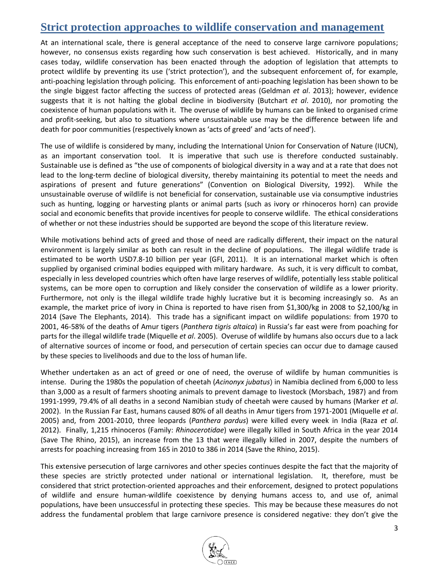## **Strict protection approaches to wildlife conservation and management**

At an international scale, there is general acceptance of the need to conserve large carnivore populations; however, no consensus exists regarding how such conservation is best achieved. Historically, and in many cases today, wildlife conservation has been enacted through the adoption of legislation that attempts to protect wildlife by preventing its use ('strict protection'), and the subsequent enforcement of, for example, anti-poaching legislation through policing. This enforcement of anti-poaching legislation has been shown to be the single biggest factor affecting the success of protected areas (Geldman *et al*. 2013); however, evidence suggests that it is not halting the global decline in biodiversity (Butchart *et al*. 2010), nor promoting the coexistence of human populations with it. The overuse of wildlife by humans can be linked to organised crime and profit-seeking, but also to situations where unsustainable use may be the difference between life and death for poor communities (respectively known as 'acts of greed' and 'acts of need').

The use of wildlife is considered by many, including the International Union for Conservation of Nature (IUCN), as an important conservation tool. It is imperative that such use is therefore conducted sustainably. Sustainable use is defined as "the use of components of biological diversity in a way and at a rate that does not lead to the long-term decline of biological diversity, thereby maintaining its potential to meet the needs and aspirations of present and future generations" (Convention on Biological Diversity, 1992). While the unsustainable overuse of wildlife is not beneficial for conservation, sustainable use via consumptive industries such as hunting, logging or harvesting plants or animal parts (such as ivory or rhinoceros horn) can provide social and economic benefits that provide incentives for people to conserve wildlife. The ethical considerations of whether or not these industries should be supported are beyond the scope of this literature review.

While motivations behind acts of greed and those of need are radically different, their impact on the natural environment is largely similar as both can result in the decline of populations. The illegal wildlife trade is estimated to be worth USD7.8-10 billion per year (GFI, 2011). It is an international market which is often supplied by organised criminal bodies equipped with military hardware. As such, it is very difficult to combat, especially in less developed countries which often have large reserves of wildlife, potentially less stable political systems, can be more open to corruption and likely consider the conservation of wildlife as a lower priority. Furthermore, not only is the illegal wildlife trade highly lucrative but it is becoming increasingly so. As an example, the market price of ivory in China is reported to have risen from \$1,300/kg in 2008 to \$2,100/kg in 2014 (Save The Elephants, 2014). This trade has a significant impact on wildlife populations: from 1970 to 2001, 46-58% of the deaths of Amur tigers (*Panthera tigris altaica*) in Russia's far east were from poaching for parts for the illegal wildlife trade (Miquelle *et al*. 2005). Overuse of wildlife by humans also occurs due to a lack of alternative sources of income or food, and persecution of certain species can occur due to damage caused by these species to livelihoods and due to the loss of human life.

Whether undertaken as an act of greed or one of need, the overuse of wildlife by human communities is intense. During the 1980s the population of cheetah (*Acinonyx jubatus*) in Namibia declined from 6,000 to less than 3,000 as a result of farmers shooting animals to prevent damage to livestock (Morsbach, 1987) and from 1991-1999, 79.4% of all deaths in a second Namibian study of cheetah were caused by humans (Marker *et al*. 2002). In the Russian Far East, humans caused 80% of all deaths in Amur tigers from 1971-2001 (Miquelle *et al*. 2005) and, from 2001-2010, three leopards (*Panthera pardus*) were killed every week in India (Raza *et al*. 2012). Finally, 1,215 rhinoceros (Family: *Rhinocerotidae*) were illegally killed in South Africa in the year 2014 (Save The Rhino, 2015), an increase from the 13 that were illegally killed in 2007, despite the numbers of arrests for poaching increasing from 165 in 2010 to 386 in 2014 (Save the Rhino, 2015).

This extensive persecution of large carnivores and other species continues despite the fact that the majority of these species are strictly protected under national or international legislation. It, therefore, must be considered that strict protection-oriented approaches and their enforcement, designed to protect populations of wildlife and ensure human-wildlife coexistence by denying humans access to, and use of, animal populations, have been unsuccessful in protecting these species. This may be because these measures do not address the fundamental problem that large carnivore presence is considered negative: they don't give the

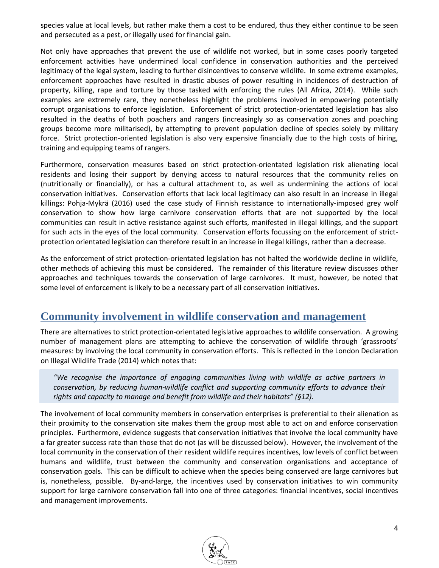species value at local levels, but rather make them a cost to be endured, thus they either continue to be seen and persecuted as a pest, or illegally used for financial gain.

Not only have approaches that prevent the use of wildlife not worked, but in some cases poorly targeted enforcement activities have undermined local confidence in conservation authorities and the perceived legitimacy of the legal system, leading to further disincentives to conserve wildlife. In some extreme examples, enforcement approaches have resulted in drastic abuses of power resulting in incidences of destruction of property, killing, rape and torture by those tasked with enforcing the rules (All Africa, 2014). While such examples are extremely rare, they nonetheless highlight the problems involved in empowering potentially corrupt organisations to enforce legislation. Enforcement of strict protection-orientated legislation has also resulted in the deaths of both poachers and rangers (increasingly so as conservation zones and poaching groups become more militarised), by attempting to prevent population decline of species solely by military force. Strict protection-oriented legislation is also very expensive financially due to the high costs of hiring, training and equipping teams of rangers.

Furthermore, conservation measures based on strict protection-orientated legislation risk alienating local residents and losing their support by denying access to natural resources that the community relies on (nutritionally or financially), or has a cultural attachment to, as well as undermining the actions of local conservation initiatives. Conservation efforts that lack local legitimacy can also result in an increase in illegal killings: Pohja-Mykrä (2016) used the case study of Finnish resistance to internationally-imposed grey wolf conservation to show how large carnivore conservation efforts that are not supported by the local communities can result in active resistance against such efforts, manifested in illegal killings, and the support for such acts in the eyes of the local community. Conservation efforts focussing on the enforcement of strictprotection orientated legislation can therefore result in an increase in illegal killings, rather than a decrease.

As the enforcement of strict protection-orientated legislation has not halted the worldwide decline in wildlife, other methods of achieving this must be considered. The remainder of this literature review discusses other approaches and techniques towards the conservation of large carnivores. It must, however, be noted that some level of enforcement is likely to be a necessary part of all conservation initiatives.

### **Community involvement in wildlife conservation and management**

There are alternatives to strict protection-orientated legislative approaches to wildlife conservation. A growing number of management plans are attempting to achieve the conservation of wildlife through 'grassroots' measures: by involving the local community in conservation efforts. This is reflected in the London Declaration on Illegal Wildlife Trade (2014) which notes that:

*"We recognise the importance of engaging communities living with wildlife as active partners in conservation, by reducing human‐wildlife conflict and supporting community efforts to advance their rights and capacity to manage and benefit from wildlife and their habitats" (§12).*

The involvement of local community members in conservation enterprises is preferential to their alienation as their proximity to the conservation site makes them the group most able to act on and enforce conservation principles. Furthermore, evidence suggests that conservation initiatives that involve the local community have a far greater success rate than those that do not (as will be discussed below). However, the involvement of the local community in the conservation of their resident wildlife requires incentives, low levels of conflict between humans and wildlife, trust between the community and conservation organisations and acceptance of conservation goals. This can be difficult to achieve when the species being conserved are large carnivores but is, nonetheless, possible. By-and-large, the incentives used by conservation initiatives to win community support for large carnivore conservation fall into one of three categories: financial incentives, social incentives and management improvements.

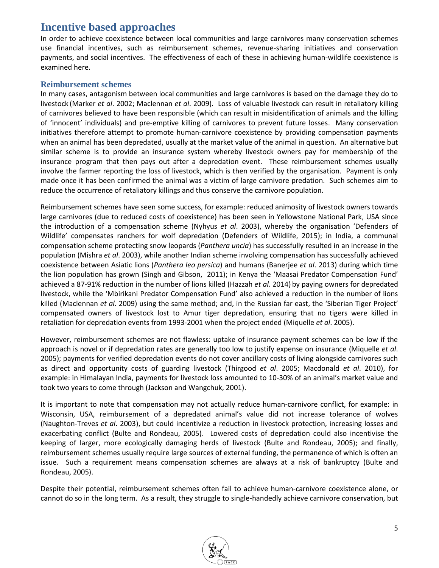## **Incentive based approaches**

In order to achieve coexistence between local communities and large carnivores many conservation schemes use financial incentives, such as reimbursement schemes, revenue-sharing initiatives and conservation payments, and social incentives. The effectiveness of each of these in achieving human-wildlife coexistence is examined here.

#### **Reimbursement schemes**

In many cases, antagonism between local communities and large carnivores is based on the damage they do to livestock (Marker *et al*. 2002; Maclennan *et al*. 2009). Loss of valuable livestock can result in retaliatory killing of carnivores believed to have been responsible (which can result in misidentification of animals and the killing of 'innocent' individuals) and pre-emptive killing of carnivores to prevent future losses. Many conservation initiatives therefore attempt to promote human-carnivore coexistence by providing compensation payments when an animal has been depredated, usually at the market value of the animal in question. An alternative but similar scheme is to provide an insurance system whereby livestock owners pay for membership of the insurance program that then pays out after a depredation event. These reimbursement schemes usually involve the farmer reporting the loss of livestock, which is then verified by the organisation. Payment is only made once it has been confirmed the animal was a victim of large carnivore predation. Such schemes aim to reduce the occurrence of retaliatory killings and thus conserve the carnivore population.

Reimbursement schemes have seen some success, for example: reduced animosity of livestock owners towards large carnivores (due to reduced costs of coexistence) has been seen in Yellowstone National Park, USA since the introduction of a compensation scheme (Nyhyus *et al*. 2003), whereby the organisation 'Defenders of Wildlife' compensates ranchers for wolf depredation (Defenders of Wildlife, 2015); in India, a communal compensation scheme protecting snow leopards (*Panthera uncia*) has successfully resulted in an increase in the population (Mishra *et al*. 2003), while another Indian scheme involving compensation has successfully achieved coexistence between Asiatic lions (*Panthera leo persica*) and humans (Banerjee *et al*. 2013) during which time the lion population has grown (Singh and Gibson, 2011); in Kenya the 'Maasai Predator Compensation Fund' achieved a 87-91% reduction in the number of lions killed (Hazzah *et al*. 2014) by paying owners for depredated livestock, while the 'Mbirikani Predator Compensation Fund' also achieved a reduction in the number of lions killed (Maclennan *et al*. 2009) using the same method; and, in the Russian far east, the 'Siberian Tiger Project' compensated owners of livestock lost to Amur tiger depredation, ensuring that no tigers were killed in retaliation for depredation events from 1993-2001 when the project ended (Miquelle *et al*. 2005).

However, reimbursement schemes are not flawless: uptake of insurance payment schemes can be low if the approach is novel or if depredation rates are generally too low to justify expense on insurance (Miquelle *et al*. 2005); payments for verified depredation events do not cover ancillary costs of living alongside carnivores such as direct and opportunity costs of guarding livestock (Thirgood *et al*. 2005; Macdonald *et al*. 2010), for example: in Himalayan India, payments for livestock loss amounted to 10-30% of an animal's market value and took two years to come through (Jackson and Wangchuk, 2001).

It is important to note that compensation may not actually reduce human-carnivore conflict, for example: in Wisconsin, USA, reimbursement of a depredated animal's value did not increase tolerance of wolves (Naughton-Treves *et al*. 2003), but could incentivize a reduction in livestock protection, increasing losses and exacerbating conflict (Bulte and Rondeau, 2005). Lowered costs of depredation could also incentivise the keeping of larger, more ecologically damaging herds of livestock (Bulte and Rondeau, 2005); and finally, reimbursement schemes usually require large sources of external funding, the permanence of which is often an issue. Such a requirement means compensation schemes are always at a risk of bankruptcy (Bulte and Rondeau, 2005).

Despite their potential, reimbursement schemes often fail to achieve human-carnivore coexistence alone, or cannot do so in the long term. As a result, they struggle to single-handedly achieve carnivore conservation, but

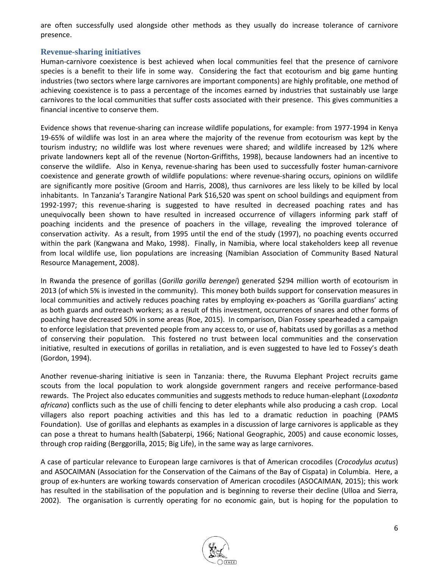are often successfully used alongside other methods as they usually do increase tolerance of carnivore presence.

#### **Revenue-sharing initiatives**

Human-carnivore coexistence is best achieved when local communities feel that the presence of carnivore species is a benefit to their life in some way. Considering the fact that ecotourism and big game hunting industries (two sectors where large carnivores are important components) are highly profitable, one method of achieving coexistence is to pass a percentage of the incomes earned by industries that sustainably use large carnivores to the local communities that suffer costs associated with their presence. This gives communities a financial incentive to conserve them.

Evidence shows that revenue-sharing can increase wildlife populations, for example: from 1977-1994 in Kenya 19-65% of wildlife was lost in an area where the majority of the revenue from ecotourism was kept by the tourism industry; no wildlife was lost where revenues were shared; and wildlife increased by 12% where private landowners kept all of the revenue (Norton-Griffiths, 1998), because landowners had an incentive to conserve the wildlife. Also in Kenya, revenue-sharing has been used to successfully foster human-carnivore coexistence and generate growth of wildlife populations: where revenue-sharing occurs, opinions on wildlife are significantly more positive (Groom and Harris, 2008), thus carnivores are less likely to be killed by local inhabitants. In Tanzania's Tarangire National Park \$16,520 was spent on school buildings and equipment from 1992-1997; this revenue-sharing is suggested to have resulted in decreased poaching rates and has unequivocally been shown to have resulted in increased occurrence of villagers informing park staff of poaching incidents and the presence of poachers in the village, revealing the improved tolerance of conservation activity. As a result, from 1995 until the end of the study (1997), no poaching events occurred within the park (Kangwana and Mako, 1998). Finally, in Namibia, where local stakeholders keep all revenue from local wildlife use, lion populations are increasing (Namibian Association of Community Based Natural Resource Management, 2008).

In Rwanda the presence of gorillas (*Gorilla gorilla berengei*) generated \$294 million worth of ecotourism in 2013 (of which 5% is invested in the community). This money both builds support for conservation measures in local communities and actively reduces poaching rates by employing ex-poachers as 'Gorilla guardians' acting as both guards and outreach workers; as a result of this investment, occurrences of snares and other forms of poaching have decreased 50% in some areas (Roe, 2015). In comparison, Dian Fossey spearheaded a campaign to enforce legislation that prevented people from any access to, or use of, habitats used by gorillas as a method of conserving their population. This fostered no trust between local communities and the conservation initiative, resulted in executions of gorillas in retaliation, and is even suggested to have led to Fossey's death (Gordon, 1994).

Another revenue-sharing initiative is seen in Tanzania: there, the Ruvuma Elephant Project recruits game scouts from the local population to work alongside government rangers and receive performance-based rewards. The Project also educates communities and suggests methods to reduce human-elephant (*Loxodonta africana*) conflicts such as the use of chilli fencing to deter elephants while also producing a cash crop. Local villagers also report poaching activities and this has led to a dramatic reduction in poaching (PAMS Foundation). Use of gorillas and elephants as examples in a discussion of large carnivores is applicable as they can pose a threat to humans health (Sabaterpi, 1966; National Geographic, 2005) and cause economic losses, through crop raiding (Berggorilla, 2015; Big Life), in the same way as large carnivores.

A case of particular relevance to European large carnivores is that of American crocodiles (*Crocodylus acutus*) and ASOCAIMAN (Association for the Conservation of the Caimans of the Bay of Cispata) in Columbia. Here, a group of ex-hunters are working towards conservation of American crocodiles (ASOCAIMAN, 2015); this work has resulted in the stabilisation of the population and is beginning to reverse their decline (Ulloa and Sierra, 2002). The organisation is currently operating for no economic gain, but is hoping for the population to

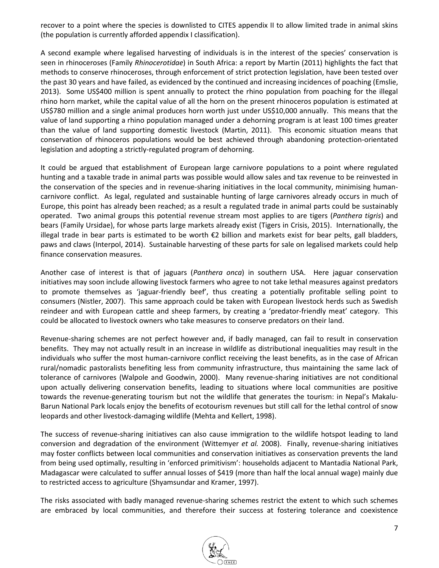recover to a point where the species is downlisted to CITES appendix II to allow limited trade in animal skins (the population is currently afforded appendix I classification).

A second example where legalised harvesting of individuals is in the interest of the species' conservation is seen in rhinoceroses (Family *Rhinocerotidae*) in South Africa: a report by Martin (2011) highlights the fact that methods to conserve rhinoceroses, through enforcement of strict protection legislation, have been tested over the past 30 years and have failed, as evidenced by the continued and increasing incidences of poaching (Emslie, 2013). Some US\$400 million is spent annually to protect the rhino population from poaching for the illegal rhino horn market, while the capital value of all the horn on the present rhinoceros population is estimated at US\$780 million and a single animal produces horn worth just under US\$10,000 annually. This means that the value of land supporting a rhino population managed under a dehorning program is at least 100 times greater than the value of land supporting domestic livestock (Martin, 2011). This economic situation means that conservation of rhinoceros populations would be best achieved through abandoning protection-orientated legislation and adopting a strictly-regulated program of dehorning.

It could be argued that establishment of European large carnivore populations to a point where regulated hunting and a taxable trade in animal parts was possible would allow sales and tax revenue to be reinvested in the conservation of the species and in revenue-sharing initiatives in the local community, minimising humancarnivore conflict. As legal, regulated and sustainable hunting of large carnivores already occurs in much of Europe, this point has already been reached; as a result a regulated trade in animal parts could be sustainably operated. Two animal groups this potential revenue stream most applies to are tigers (*Panthera tigris*) and bears (Family Ursidae), for whose parts large markets already exist (Tigers in Crisis, 2015). Internationally, the illegal trade in bear parts is estimated to be worth €2 billion and markets exist for bear pelts, gall bladders, paws and claws (Interpol, 2014). Sustainable harvesting of these parts for sale on legalised markets could help finance conservation measures.

Another case of interest is that of jaguars (*Panthera onca*) in southern USA. Here jaguar conservation initiatives may soon include allowing livestock farmers who agree to not take lethal measures against predators to promote themselves as 'jaguar-friendly beef', thus creating a potentially profitable selling point to consumers (Nistler, 2007). This same approach could be taken with European livestock herds such as Swedish reindeer and with European cattle and sheep farmers, by creating a 'predator-friendly meat' category. This could be allocated to livestock owners who take measures to conserve predators on their land.

Revenue-sharing schemes are not perfect however and, if badly managed, can fail to result in conservation benefits. They may not actually result in an increase in wildlife as distributional inequalities may result in the individuals who suffer the most human-carnivore conflict receiving the least benefits, as in the case of African rural/nomadic pastoralists benefiting less from community infrastructure, thus maintaining the same lack of tolerance of carnivores (Walpole and Goodwin, 2000). Many revenue-sharing initiatives are not conditional upon actually delivering conservation benefits, leading to situations where local communities are positive towards the revenue-generating tourism but not the wildlife that generates the tourism: in Nepal's Makalu-Barun National Park locals enjoy the benefits of ecotourism revenues but still call for the lethal control of snow leopards and other livestock-damaging wildlife (Mehta and Kellert, 1998).

The success of revenue-sharing initiatives can also cause immigration to the wildlife hotspot leading to land conversion and degradation of the environment (Wittemyer *et al.* 2008). Finally, revenue-sharing initiatives may foster conflicts between local communities and conservation initiatives as conservation prevents the land from being used optimally, resulting in 'enforced primitivism': households adjacent to Mantadia National Park, Madagascar were calculated to suffer annual losses of \$419 (more than half the local annual wage) mainly due to restricted access to agriculture (Shyamsundar and Kramer, 1997).

The risks associated with badly managed revenue-sharing schemes restrict the extent to which such schemes are embraced by local communities, and therefore their success at fostering tolerance and coexistence

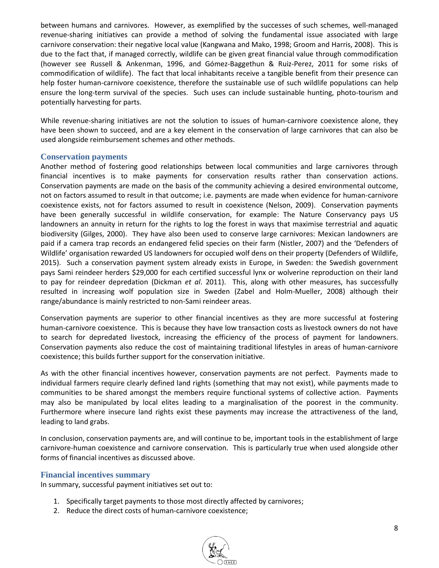between humans and carnivores. However, as exemplified by the successes of such schemes, well-managed revenue-sharing initiatives can provide a method of solving the fundamental issue associated with large carnivore conservation: their negative local value (Kangwana and Mako, 1998; Groom and Harris, 2008). This is due to the fact that, if managed correctly, wildlife can be given great financial value through commodification (however see Russell & Ankenman, 1996, and Gómez-Baggethun & Ruiz-Perez, 2011 for some risks of commodification of wildlife). The fact that local inhabitants receive a tangible benefit from their presence can help foster human-carnivore coexistence, therefore the sustainable use of such wildlife populations can help ensure the long-term survival of the species. Such uses can include sustainable hunting, photo-tourism and potentially harvesting for parts.

While revenue-sharing initiatives are not the solution to issues of human-carnivore coexistence alone, they have been shown to succeed, and are a key element in the conservation of large carnivores that can also be used alongside reimbursement schemes and other methods.

#### **Conservation payments**

Another method of fostering good relationships between local communities and large carnivores through financial incentives is to make payments for conservation results rather than conservation actions. Conservation payments are made on the basis of the community achieving a desired environmental outcome, not on factors assumed to result in that outcome; i.e. payments are made when evidence for human-carnivore coexistence exists, not for factors assumed to result in coexistence (Nelson, 2009). Conservation payments have been generally successful in wildlife conservation, for example: The Nature Conservancy pays US landowners an annuity in return for the rights to log the forest in ways that maximise terrestrial and aquatic biodiversity (Gilges, 2000). They have also been used to conserve large carnivores: Mexican landowners are paid if a camera trap records an endangered felid species on their farm (Nistler, 2007) and the 'Defenders of Wildlife' organisation rewarded US landowners for occupied wolf dens on their property (Defenders of Wildlife, 2015). Such a conservation payment system already exists in Europe, in Sweden: the Swedish government pays Sami reindeer herders \$29,000 for each certified successful lynx or wolverine reproduction on their land to pay for reindeer depredation (Dickman *et al*. 2011). This, along with other measures, has successfully resulted in increasing wolf population size in Sweden (Zabel and Holm-Mueller, 2008) although their range/abundance is mainly restricted to non-Sami reindeer areas.

Conservation payments are superior to other financial incentives as they are more successful at fostering human-carnivore coexistence. This is because they have low transaction costs as livestock owners do not have to search for depredated livestock, increasing the efficiency of the process of payment for landowners. Conservation payments also reduce the cost of maintaining traditional lifestyles in areas of human-carnivore coexistence; this builds further support for the conservation initiative.

As with the other financial incentives however, conservation payments are not perfect. Payments made to individual farmers require clearly defined land rights (something that may not exist), while payments made to communities to be shared amongst the members require functional systems of collective action. Payments may also be manipulated by local elites leading to a marginalisation of the poorest in the community. Furthermore where insecure land rights exist these payments may increase the attractiveness of the land, leading to land grabs.

In conclusion, conservation payments are, and will continue to be, important tools in the establishment of large carnivore-human coexistence and carnivore conservation. This is particularly true when used alongside other forms of financial incentives as discussed above.

#### **Financial incentives summary**

In summary, successful payment initiatives set out to:

- 1. Specifically target payments to those most directly affected by carnivores;
- 2. Reduce the direct costs of human-carnivore coexistence;

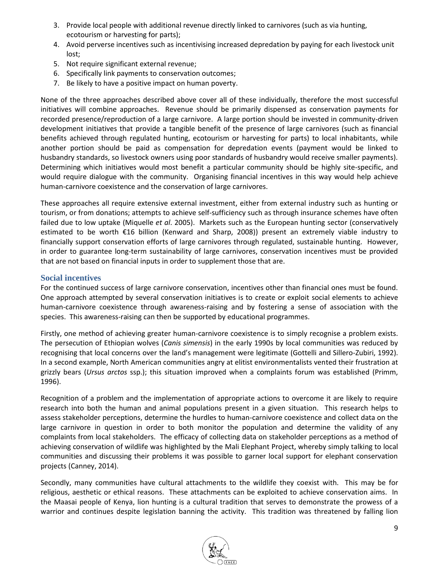- 3. Provide local people with additional revenue directly linked to carnivores (such as via hunting, ecotourism or harvesting for parts);
- 4. Avoid perverse incentives such as incentivising increased depredation by paying for each livestock unit lost;
- 5. Not require significant external revenue;
- 6. Specifically link payments to conservation outcomes;
- 7. Be likely to have a positive impact on human poverty.

None of the three approaches described above cover all of these individually, therefore the most successful initiatives will combine approaches. Revenue should be primarily dispensed as conservation payments for recorded presence/reproduction of a large carnivore. A large portion should be invested in community-driven development initiatives that provide a tangible benefit of the presence of large carnivores (such as financial benefits achieved through regulated hunting, ecotourism or harvesting for parts) to local inhabitants, while another portion should be paid as compensation for depredation events (payment would be linked to husbandry standards, so livestock owners using poor standards of husbandry would receive smaller payments). Determining which initiatives would most benefit a particular community should be highly site-specific, and would require dialogue with the community. Organising financial incentives in this way would help achieve human-carnivore coexistence and the conservation of large carnivores.

These approaches all require extensive external investment, either from external industry such as hunting or tourism, or from donations; attempts to achieve self-sufficiency such as through insurance schemes have often failed due to low uptake (Miquelle *et al*. 2005). Markets such as the European hunting sector (conservatively estimated to be worth €16 billion (Kenward and Sharp, 2008)) present an extremely viable industry to financially support conservation efforts of large carnivores through regulated, sustainable hunting. However, in order to guarantee long-term sustainability of large carnivores, conservation incentives must be provided that are not based on financial inputs in order to supplement those that are.

#### **Social incentives**

For the continued success of large carnivore conservation, incentives other than financial ones must be found. One approach attempted by several conservation initiatives is to create or exploit social elements to achieve human-carnivore coexistence through awareness-raising and by fostering a sense of association with the species. This awareness-raising can then be supported by educational programmes.

Firstly, one method of achieving greater human-carnivore coexistence is to simply recognise a problem exists. The persecution of Ethiopian wolves (*Canis simensis*) in the early 1990s by local communities was reduced by recognising that local concerns over the land's management were legitimate (Gottelli and Sillero-Zubiri, 1992). In a second example, North American communities angry at elitist environmentalists vented their frustration at grizzly bears (*Ursus arctos* ssp.); this situation improved when a complaints forum was established (Primm, 1996).

Recognition of a problem and the implementation of appropriate actions to overcome it are likely to require research into both the human and animal populations present in a given situation. This research helps to assess stakeholder perceptions, determine the hurdles to human-carnivore coexistence and collect data on the large carnivore in question in order to both monitor the population and determine the validity of any complaints from local stakeholders. The efficacy of collecting data on stakeholder perceptions as a method of achieving conservation of wildlife was highlighted by the Mali Elephant Project, whereby simply talking to local communities and discussing their problems it was possible to garner local support for elephant conservation projects (Canney, 2014).

Secondly, many communities have cultural attachments to the wildlife they coexist with. This may be for religious, aesthetic or ethical reasons. These attachments can be exploited to achieve conservation aims. In the Maasai people of Kenya, lion hunting is a cultural tradition that serves to demonstrate the prowess of a warrior and continues despite legislation banning the activity. This tradition was threatened by falling lion

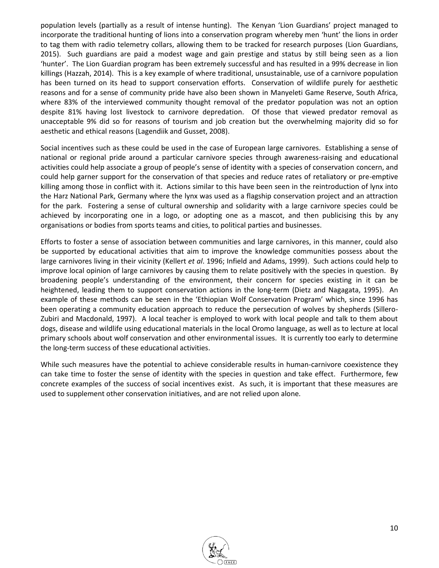population levels (partially as a result of intense hunting). The Kenyan 'Lion Guardians' project managed to incorporate the traditional hunting of lions into a conservation program whereby men 'hunt' the lions in order to tag them with radio telemetry collars, allowing them to be tracked for research purposes (Lion Guardians, 2015). Such guardians are paid a modest wage and gain prestige and status by still being seen as a lion 'hunter'. The Lion Guardian program has been extremely successful and has resulted in a 99% decrease in lion killings (Hazzah, 2014). This is a key example of where traditional, unsustainable, use of a carnivore population has been turned on its head to support conservation efforts. Conservation of wildlife purely for aesthetic reasons and for a sense of community pride have also been shown in Manyeleti Game Reserve, South Africa, where 83% of the interviewed community thought removal of the predator population was not an option despite 81% having lost livestock to carnivore depredation. Of those that viewed predator removal as unacceptable 9% did so for reasons of tourism and job creation but the overwhelming majority did so for aesthetic and ethical reasons (Lagendiik and Gusset, 2008).

Social incentives such as these could be used in the case of European large carnivores. Establishing a sense of national or regional pride around a particular carnivore species through awareness-raising and educational activities could help associate a group of people's sense of identity with a species of conservation concern, and could help garner support for the conservation of that species and reduce rates of retaliatory or pre-emptive killing among those in conflict with it. Actions similar to this have been seen in the reintroduction of lynx into the Harz National Park, Germany where the lynx was used as a flagship conservation project and an attraction for the park. Fostering a sense of cultural ownership and solidarity with a large carnivore species could be achieved by incorporating one in a logo, or adopting one as a mascot, and then publicising this by any organisations or bodies from sports teams and cities, to political parties and businesses.

Efforts to foster a sense of association between communities and large carnivores, in this manner, could also be supported by educational activities that aim to improve the knowledge communities possess about the large carnivores living in their vicinity (Kellert *et al*. 1996; Infield and Adams, 1999). Such actions could help to improve local opinion of large carnivores by causing them to relate positively with the species in question. By broadening people's understanding of the environment, their concern for species existing in it can be heightened, leading them to support conservation actions in the long-term (Dietz and Nagagata, 1995). An example of these methods can be seen in the 'Ethiopian Wolf Conservation Program' which, since 1996 has been operating a community education approach to reduce the persecution of wolves by shepherds (Sillero-Zubiri and Macdonald, 1997). A local teacher is employed to work with local people and talk to them about dogs, disease and wildlife using educational materials in the local Oromo language, as well as to lecture at local primary schools about wolf conservation and other environmental issues. It is currently too early to determine the long-term success of these educational activities.

While such measures have the potential to achieve considerable results in human-carnivore coexistence they can take time to foster the sense of identity with the species in question and take effect. Furthermore, few concrete examples of the success of social incentives exist. As such, it is important that these measures are used to supplement other conservation initiatives, and are not relied upon alone.

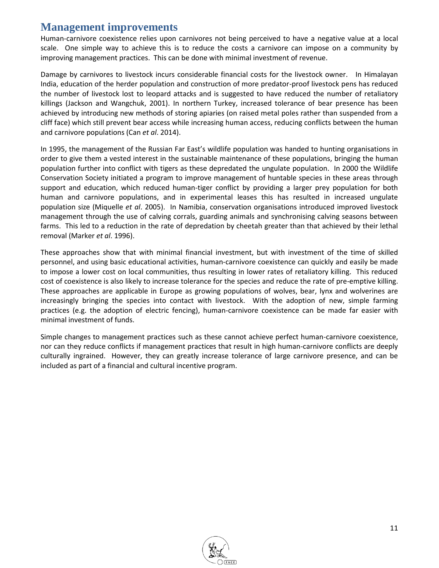### **Management improvements**

Human-carnivore coexistence relies upon carnivores not being perceived to have a negative value at a local scale. One simple way to achieve this is to reduce the costs a carnivore can impose on a community by improving management practices. This can be done with minimal investment of revenue.

Damage by carnivores to livestock incurs considerable financial costs for the livestock owner. In Himalayan India, education of the herder population and construction of more predator-proof livestock pens has reduced the number of livestock lost to leopard attacks and is suggested to have reduced the number of retaliatory killings (Jackson and Wangchuk, 2001). In northern Turkey, increased tolerance of bear presence has been achieved by introducing new methods of storing apiaries (on raised metal poles rather than suspended from a cliff face) which still prevent bear access while increasing human access, reducing conflicts between the human and carnivore populations (Can *et al*. 2014).

In 1995, the management of the Russian Far East's wildlife population was handed to hunting organisations in order to give them a vested interest in the sustainable maintenance of these populations, bringing the human population further into conflict with tigers as these depredated the ungulate population. In 2000 the Wildlife Conservation Society initiated a program to improve management of huntable species in these areas through support and education, which reduced human-tiger conflict by providing a larger prey population for both human and carnivore populations, and in experimental leases this has resulted in increased ungulate population size (Miquelle *et al*. 2005). In Namibia, conservation organisations introduced improved livestock management through the use of calving corrals, guarding animals and synchronising calving seasons between farms. This led to a reduction in the rate of depredation by cheetah greater than that achieved by their lethal removal (Marker *et al*. 1996).

These approaches show that with minimal financial investment, but with investment of the time of skilled personnel, and using basic educational activities, human-carnivore coexistence can quickly and easily be made to impose a lower cost on local communities, thus resulting in lower rates of retaliatory killing. This reduced cost of coexistence is also likely to increase tolerance for the species and reduce the rate of pre-emptive killing. These approaches are applicable in Europe as growing populations of wolves, bear, lynx and wolverines are increasingly bringing the species into contact with livestock. With the adoption of new, simple farming practices (e.g. the adoption of electric fencing), human-carnivore coexistence can be made far easier with minimal investment of funds.

Simple changes to management practices such as these cannot achieve perfect human-carnivore coexistence, nor can they reduce conflicts if management practices that result in high human-carnivore conflicts are deeply culturally ingrained. However, they can greatly increase tolerance of large carnivore presence, and can be included as part of a financial and cultural incentive program.

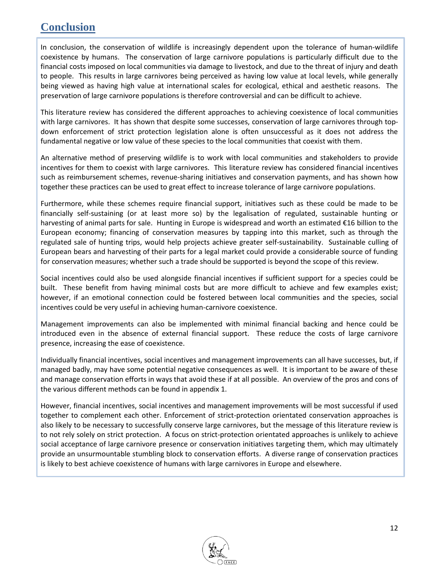## **Conclusion**

In conclusion, the conservation of wildlife is increasingly dependent upon the tolerance of human-wildlife coexistence by humans. The conservation of large carnivore populations is particularly difficult due to the financial costs imposed on local communities via damage to livestock, and due to the threat of injury and death to people. This results in large carnivores being perceived as having low value at local levels, while generally being viewed as having high value at international scales for ecological, ethical and aesthetic reasons. The preservation of large carnivore populations is therefore controversial and can be difficult to achieve.

This literature review has considered the different approaches to achieving coexistence of local communities with large carnivores. It has shown that despite some successes, conservation of large carnivores through topdown enforcement of strict protection legislation alone is often unsuccessful as it does not address the fundamental negative or low value of these species to the local communities that coexist with them.

An alternative method of preserving wildlife is to work with local communities and stakeholders to provide incentives for them to coexist with large carnivores. This literature review has considered financial incentives such as reimbursement schemes, revenue-sharing initiatives and conservation payments, and has shown how together these practices can be used to great effect to increase tolerance of large carnivore populations.

Furthermore, while these schemes require financial support, initiatives such as these could be made to be financially self-sustaining (or at least more so) by the legalisation of regulated, sustainable hunting or harvesting of animal parts for sale. Hunting in Europe is widespread and worth an estimated €16 billion to the European economy; financing of conservation measures by tapping into this market, such as through the regulated sale of hunting trips, would help projects achieve greater self-sustainability. Sustainable culling of European bears and harvesting of their parts for a legal market could provide a considerable source of funding for conservation measures; whether such a trade should be supported is beyond the scope of this review.

Social incentives could also be used alongside financial incentives if sufficient support for a species could be built. These benefit from having minimal costs but are more difficult to achieve and few examples exist; however, if an emotional connection could be fostered between local communities and the species, social incentives could be very useful in achieving human-carnivore coexistence.

Management improvements can also be implemented with minimal financial backing and hence could be introduced even in the absence of external financial support. These reduce the costs of large carnivore presence, increasing the ease of coexistence.

Individually financial incentives, social incentives and management improvements can all have successes, but, if managed badly, may have some potential negative consequences as well. It is important to be aware of these and manage conservation efforts in ways that avoid these if at all possible. An overview of the pros and cons of the various different methods can be found in appendix 1.

However, financial incentives, social incentives and management improvements will be most successful if used together to complement each other. Enforcement of strict-protection orientated conservation approaches is also likely to be necessary to successfully conserve large carnivores, but the message of this literature review is to not rely solely on strict protection. A focus on strict-protection orientated approaches is unlikely to achieve social acceptance of large carnivore presence or conservation initiatives targeting them, which may ultimately provide an unsurmountable stumbling block to conservation efforts. A diverse range of conservation practices is likely to best achieve coexistence of humans with large carnivores in Europe and elsewhere.

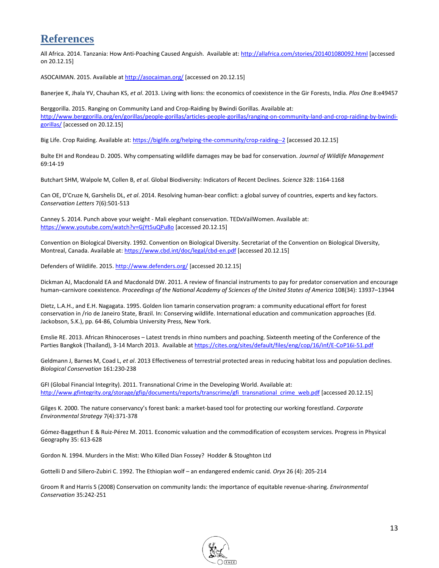## **References**

All Africa. 2014. Tanzania: How Anti-Poaching Caused Anguish. Available at:<http://allafrica.com/stories/201401080092.html> [accessed on 20.12.15]

ASOCAIMAN. 2015. Available a[t http://asocaiman.org/](http://asocaiman.org/) [accessed on 20.12.15]

Banerjee K, Jhala YV, Chauhan KS, *et al*. 2013. Living with lions: the economics of coexistence in the Gir Forests, India. *Plos One* 8:e49457

Berggorilla. 2015. Ranging on Community Land and Crop-Raiding by Bwindi Gorillas. Available at: [http://www.berggorilla.org/en/gorillas/people-gorillas/articles-people-gorillas/ranging-on-community-land-and-crop-raiding-by-bwindi](http://www.berggorilla.org/en/gorillas/people-gorillas/articles-people-gorillas/ranging-on-community-land-and-crop-raiding-by-bwindi-gorillas/)[gorillas/](http://www.berggorilla.org/en/gorillas/people-gorillas/articles-people-gorillas/ranging-on-community-land-and-crop-raiding-by-bwindi-gorillas/) [accessed on 20.12.15]

Big Life. Crop Raiding. Available at[: https://biglife.org/helping-the-community/crop-raiding--2](https://biglife.org/helping-the-community/crop-raiding--2) [accessed 20.12.15]

Bulte EH and Rondeau D. 2005. Why compensating wildlife damages may be bad for conservation. *Journal of Wildlife Management* 69:14-19

Butchart SHM, Walpole M, Collen B, *et al*. Global Biodiversity: Indicators of Recent Declines. *Science* 328: 1164-1168

Can OE, D'Cruze N, Garshelis DL, *et al*. 2014. Resolving human-bear conflict: a global survey of countries, experts and key factors. *Conservation Letters* 7(6):501-513

Canney S. 2014. Punch above your weight - Mali elephant conservation. TEDxVailWomen. Available at: <https://www.youtube.com/watch?v=GjYt5uQPu8o> [accessed 20.12.15]

Convention on Biological Diversity. 1992. Convention on Biological Diversity. Secretariat of the Convention on Biological Diversity, Montreal, Canada. Available at:<https://www.cbd.int/doc/legal/cbd-en.pdf> [accessed 20.12.15]

Defenders of Wildlife. 2015[. http://www.defenders.org/](http://www.defenders.org/) [accessed 20.12.15]

Dickman AJ, Macdonald EA and Macdonald DW. 2011. A review of financial instruments to pay for predator conservation and encourage human–carnivore coexistence. *Proceedings of the National Academy of Sciences of the United States of America* 108(34): 13937–13944

Dietz, L.A.H., and E.H. Nagagata. 1995. Golden lion tamarin conservation program: a community educational effort for forest conservation in /rio de Janeiro State, Brazil. In: Conserving wildlife. International education and communication approaches (Ed. Jackobson, S.K.), pp. 64-86, Columbia University Press, New York.

Emslie RE. 2013. African Rhinoceroses – Latest trends in rhino numbers and poaching. Sixteenth meeting of the Conference of the Parties Bangkok (Thailand), 3-14 March 2013. Available a[t https://cites.org/sites/default/files/eng/cop/16/inf/E-CoP16i-51.pdf](https://cites.org/sites/default/files/eng/cop/16/inf/E-CoP16i-51.pdf)

Geldmann J, Barnes M, Coad L, *et al*. 2013 Effectiveness of terrestrial protected areas in reducing habitat loss and population declines. *Biological Conservation* 161:230-238

GFI (Global Financial Integrity). 2011. Transnational Crime in the Developing World. Available at: [http://www.gfintegrity.org/storage/gfip/documents/reports/transcrime/gfi\\_transnational\\_crime\\_web.pdf](http://www.gfintegrity.org/storage/gfip/documents/reports/transcrime/gfi_transnational_crime_web.pdf) [accessed 20.12.15]

Gilges K. 2000. The nature conservancy's forest bank: a market-based tool for protecting our working forestland. *Corporate Environmental Strategy* 7(4):371-378

Gómez-Baggethun E & Ruiz-Pérez M. 2011. Economic valuation and the commodification of ecosystem services. Progress in Physical Geography 35: 613-628

Gordon N. 1994. Murders in the Mist: Who Killed Dian Fossey? Hodder & Stoughton Ltd

Gottelli D and Sillero-Zubiri C. 1992. The Ethiopian wolf – an endangered endemic canid. *Oryx* 26 (4): 205-214

Groom R and Harris S (2008) Conservation on community lands: the importance of equitable revenue-sharing. *Environmental Conservation* 35:242-251

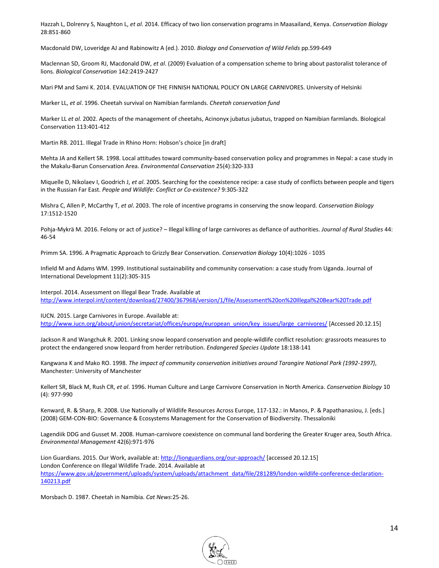Hazzah L, Dolrenry S, Naughton L, *et al*. 2014. Efficacy of two lion conservation programs in Maasailand, Kenya. *Conservation Biology*  28:851-860

Macdonald DW, Loveridge AJ and Rabinowitz A (ed.). 2010. *Biology and Conservation of Wild Felids* pp.599-649

Maclennan SD, Groom RJ, Macdonald DW, *et al*. (2009) Evaluation of a compensation scheme to bring about pastoralist tolerance of lions. *Biological Conservation* 142:2419-2427

Mari PM and Sami K. 2014. EVALUATION OF THE FINNISH NATIONAL POLICY ON LARGE CARNIVORES. University of Helsinki

Marker LL, *et al*. 1996. Cheetah survival on Namibian farmlands. *Cheetah conservation fund*

Marker LL *et al.* 2002. Apects of the management of cheetahs, Acinonyx jubatus jubatus, trapped on Namibian farmlands. Biological Conservation 113:401-412

Martin RB. 2011. Illegal Trade in Rhino Horn: Hobson's choice [in draft]

Mehta JA and Kellert SR. 1998. Local attitudes toward community-based conservation policy and programmes in Nepal: a case study in the Makalu-Barun Conservation Area. *Environmental Conservation* 25(4):320-333

Miquelle D, Nikolaev I, Goodrich J, *et al*. 2005. Searching for the coexistence recipe: a case study of conflicts between people and tigers in the Russian Far East. *People and Wildlife: Conflict or Co-existence?* 9:305-322

Mishra C, Allen P, McCarthy T, *et al*. 2003. The role of incentive programs in conserving the snow leopard. *Conservation Biology* 17:1512-1520

Pohja-Mykrä M. 2016. Felony or act of justice? – Illegal killing of large carnivores as defiance of authorities. *Journal of Rural Studies* 44: 46-54

Primm SA. 1996. A Pragmatic Approach to Grizzly Bear Conservation. *Conservation Biology* 10(4):1026 - 1035

Infield M and Adams WM. 1999. Institutional sustainability and community conservation: a case study from Uganda. Journal of International Development 11(2):305-315

Interpol. 2014. Assessment on Illegal Bear Trade. Available at <http://www.interpol.int/content/download/27400/367968/version/1/file/Assessment%20on%20Illegal%20Bear%20Trade.pdf>

IUCN. 2015. Large Carnivores in Europe. Available at:

[http://www.iucn.org/about/union/secretariat/offices/europe/european\\_union/key\\_issues/large\\_carnivores/](http://www.iucn.org/about/union/secretariat/offices/europe/european_union/key_issues/large_carnivores/) [Accessed 20.12.15]

Jackson R and Wangchuk R. 2001. Linking snow leopard conservation and people-wildlife conflict resolution: grassroots measures to protect the endangered snow leopard from herder retribution. *Endangered Species Update* 18:138-141

Kangwana K and Mako RO. 1998. *The impact of community conservation initiatives around Tarangire National Park (1992-1997)*, Manchester: University of Manchester

Kellert SR, Black M, Rush CR, *et al*. 1996. Human Culture and Large Carnivore Conservation in North America. *Conservation Biology* 10 (4): 977-990

Kenward, R. & Sharp, R. 2008. Use Nationally of Wildlife Resources Across Europe, 117-132.: in Manos, P. & Papathanasiou, J. [eds.] (2008) GEM-CON-BIO: Governance & Ecosystems Management for the Conservation of Biodiversity. Thessaloniki

Lagendiik DDG and Gusset M. 2008. Human-carnivore coexistence on communal land bordering the Greater Kruger area, South Africa. *Environmental Management* 42(6):971-976

Lion Guardians. 2015. Our Work, available at[: http://lionguardians.org/our-approach/](http://lionguardians.org/our-approach/) [accessed 20.12.15] London Conference on Illegal Wildlife Trade. 2014. Available at [https://www.gov.uk/government/uploads/system/uploads/attachment\\_data/file/281289/london-wildlife-conference-declaration-](https://www.gov.uk/government/uploads/system/uploads/attachment_data/file/281289/london-wildlife-conference-declaration-140213.pdf)[140213.pdf](https://www.gov.uk/government/uploads/system/uploads/attachment_data/file/281289/london-wildlife-conference-declaration-140213.pdf)

Morsbach D. 1987. Cheetah in Namibia. *Cat News*:25-26.

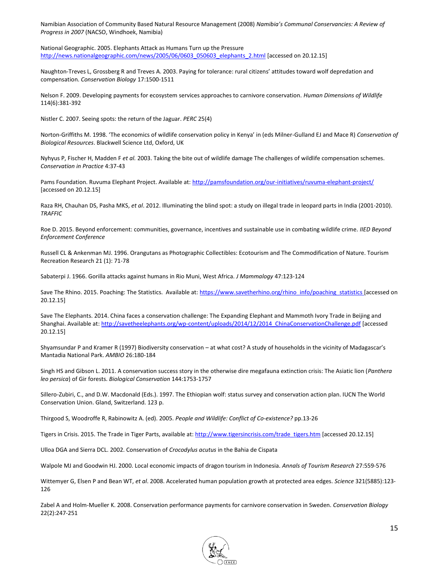Namibian Association of Community Based Natural Resource Management (2008) *Namibia's Communal Conservancies: A Review of Progress in 2007* (NACSO, Windhoek, Namibia)

National Geographic. 2005. Elephants Attack as Humans Turn up the Pressure [http://news.nationalgeographic.com/news/2005/06/0603\\_050603\\_elephants\\_2.html](http://news.nationalgeographic.com/news/2005/06/0603_050603_elephants_2.html) [accessed on 20.12.15]

Naughton-Treves L, Grossberg R and Treves A. 2003. Paying for tolerance: rural citizens' attitudes toward wolf depredation and compensation. *Conservation Biology* 17:1500-1511

Nelson F. 2009. Developing payments for ecosystem services approaches to carnivore conservation. *Human Dimensions of Wildlife* 114(6):381-392

Nistler C. 2007. Seeing spots: the return of the Jaguar. *PERC* 25(4)

Norton-Griffiths M. 1998. 'The economics of wildlife conservation policy in Kenya' in (eds Milner-Gulland EJ and Mace R) *Conservation of Biological Resources*. Blackwell Science Ltd, Oxford, UK

Nyhyus P, Fischer H, Madden F *et al.* 2003. Taking the bite out of wildlife damage The challenges of wildlife compensation schemes. *Conservation in Practice* 4:37-43

Pams Foundation. Ruvuma Elephant Project. Available at[: http://pamsfoundation.org/our-initiatives/ruvuma-elephant-project/](http://pamsfoundation.org/our-initiatives/ruvuma-elephant-project/) [accessed on 20.12.15]

Raza RH, Chauhan DS, Pasha MKS, *et al*. 2012. Illuminating the blind spot: a study on illegal trade in leopard parts in India (2001-2010). *TRAFFIC* 

Roe D. 2015. Beyond enforcement: communities, governance, incentives and sustainable use in combating wildlife crime. *IIED Beyond Enforcement Conference*

Russell CL & Ankenman MJ. 1996. Orangutans as Photographic Collectibles: Ecotourism and The Commodification of Nature. Tourism Recreation Research 21 (1): 71-78

Sabaterpi J. 1966. Gorilla attacks against humans in Rio Muni, West Africa. *J Mammalogy* 47:123-124

Save The Rhino. 2015. Poaching: The Statistics. Available at[: https://www.savetherhino.org/rhino\\_info/poaching\\_statistics](https://www.savetherhino.org/rhino_info/poaching_statistics) [accessed on 20.12.15]

Save The Elephants. 2014. China faces a conservation challenge: The Expanding Elephant and Mammoth Ivory Trade in Beijing and Shanghai. Available at[: http://savetheelephants.org/wp-content/uploads/2014/12/2014\\_ChinaConservationChallenge.pdf](http://savetheelephants.org/wp-content/uploads/2014/12/2014_ChinaConservationChallenge.pdf) [accessed 20.12.15]

Shyamsundar P and Kramer R (1997) Biodiversity conservation – at what cost? A study of households in the vicinity of Madagascar's Mantadia National Park. *AMBIO* 26:180-184

Singh HS and Gibson L. 2011. A conservation success story in the otherwise dire megafauna extinction crisis: The Asiatic lion (*Panthera leo persica*) of Gir forests. *Biological Conservation* 144:1753-1757

Sillero-Zubiri, C., and D.W. Macdonald (Eds.). 1997. The Ethiopian wolf: status survey and conservation action plan. IUCN The World Conservation Union. Gland, Switzerland. 123 p.

Thirgood S, Woodroffe R, Rabinowitz A. (ed). 2005. *People and Wildlife: Conflict of Co-existence?* pp.13-26

Tigers in Crisis. 2015. The Trade in Tiger Parts, available at[: http://www.tigersincrisis.com/trade\\_tigers.htm](http://www.tigersincrisis.com/trade_tigers.htm) [accessed 20.12.15]

Ulloa DGA and Sierra DCL. 2002. Conservation of *Crocodylus acutus* in the Bahia de Cispata

Walpole MJ and Goodwin HJ. 2000. Local economic impacts of dragon tourism in Indonesia. *Annals of Tourism Research* 27:559-576

Wittemyer G, Elsen P and Bean WT, *et al*. 2008. Accelerated human population growth at protected area edges. *Science* 321(5885):123- 126

Zabel A and Holm-Mueller K. 2008. Conservation performance payments for carnivore conservation in Sweden. *Conservation Biology* 22(2):247-251

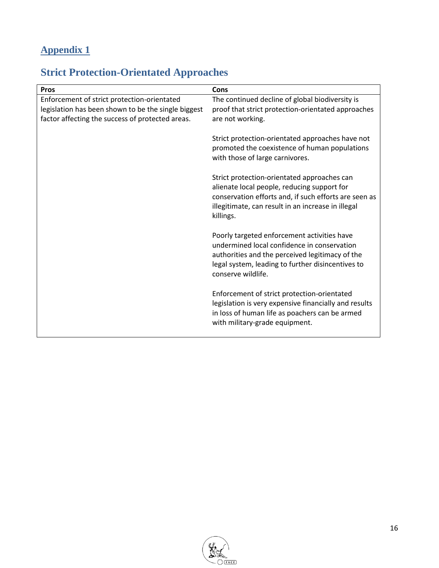# **Appendix 1**

# **Strict Protection-Orientated Approaches**

| Pros                                                                                                                                                   | Cons                                                                                                                                                                                                                     |
|--------------------------------------------------------------------------------------------------------------------------------------------------------|--------------------------------------------------------------------------------------------------------------------------------------------------------------------------------------------------------------------------|
| Enforcement of strict protection-orientated<br>legislation has been shown to be the single biggest<br>factor affecting the success of protected areas. | The continued decline of global biodiversity is<br>proof that strict protection-orientated approaches<br>are not working.                                                                                                |
|                                                                                                                                                        | Strict protection-orientated approaches have not<br>promoted the coexistence of human populations<br>with those of large carnivores.                                                                                     |
|                                                                                                                                                        | Strict protection-orientated approaches can<br>alienate local people, reducing support for<br>conservation efforts and, if such efforts are seen as<br>illegitimate, can result in an increase in illegal<br>killings.   |
|                                                                                                                                                        | Poorly targeted enforcement activities have<br>undermined local confidence in conservation<br>authorities and the perceived legitimacy of the<br>legal system, leading to further disincentives to<br>conserve wildlife. |
|                                                                                                                                                        | Enforcement of strict protection-orientated<br>legislation is very expensive financially and results<br>in loss of human life as poachers can be armed<br>with military-grade equipment.                                 |

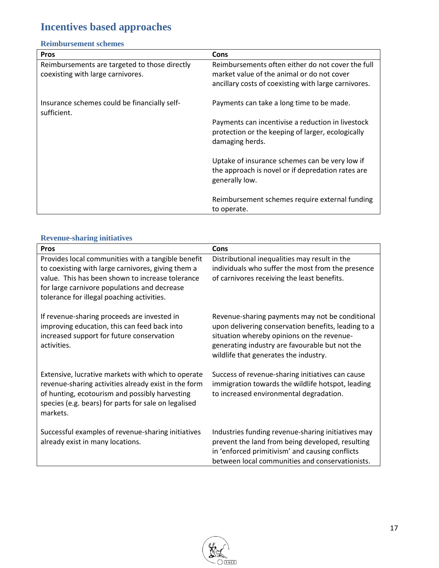# **Incentives based approaches**

### **Reimbursement schemes**

| <b>Pros</b>                                                 | Cons                                                 |
|-------------------------------------------------------------|------------------------------------------------------|
| Reimbursements are targeted to those directly               | Reimbursements often either do not cover the full    |
| coexisting with large carnivores.                           | market value of the animal or do not cover           |
|                                                             | ancillary costs of coexisting with large carnivores. |
|                                                             |                                                      |
| Insurance schemes could be financially self-<br>sufficient. | Payments can take a long time to be made.            |
|                                                             | Payments can incentivise a reduction in livestock    |
|                                                             | protection or the keeping of larger, ecologically    |
|                                                             | damaging herds.                                      |
|                                                             | Uptake of insurance schemes can be very low if       |
|                                                             | the approach is novel or if depredation rates are    |
|                                                             | generally low.                                       |
|                                                             |                                                      |
|                                                             | Reimbursement schemes require external funding       |
|                                                             | to operate.                                          |

### **Revenue-sharing initiatives**

| <b>Pros</b>                                                                                                                                                                                                                                                | Cons                                                                                                                                                                                                                                            |
|------------------------------------------------------------------------------------------------------------------------------------------------------------------------------------------------------------------------------------------------------------|-------------------------------------------------------------------------------------------------------------------------------------------------------------------------------------------------------------------------------------------------|
| Provides local communities with a tangible benefit<br>to coexisting with large carnivores, giving them a<br>value. This has been shown to increase tolerance<br>for large carnivore populations and decrease<br>tolerance for illegal poaching activities. | Distributional inequalities may result in the<br>individuals who suffer the most from the presence<br>of carnivores receiving the least benefits.                                                                                               |
| If revenue-sharing proceeds are invested in<br>improving education, this can feed back into<br>increased support for future conservation<br>activities.                                                                                                    | Revenue-sharing payments may not be conditional<br>upon delivering conservation benefits, leading to a<br>situation whereby opinions on the revenue-<br>generating industry are favourable but not the<br>wildlife that generates the industry. |
| Extensive, lucrative markets with which to operate<br>revenue-sharing activities already exist in the form<br>of hunting, ecotourism and possibly harvesting<br>species (e.g. bears) for parts for sale on legalised<br>markets.                           | Success of revenue-sharing initiatives can cause<br>immigration towards the wildlife hotspot, leading<br>to increased environmental degradation.                                                                                                |
| Successful examples of revenue-sharing initiatives<br>already exist in many locations.                                                                                                                                                                     | Industries funding revenue-sharing initiatives may<br>prevent the land from being developed, resulting<br>in 'enforced primitivism' and causing conflicts<br>between local communities and conservationists.                                    |